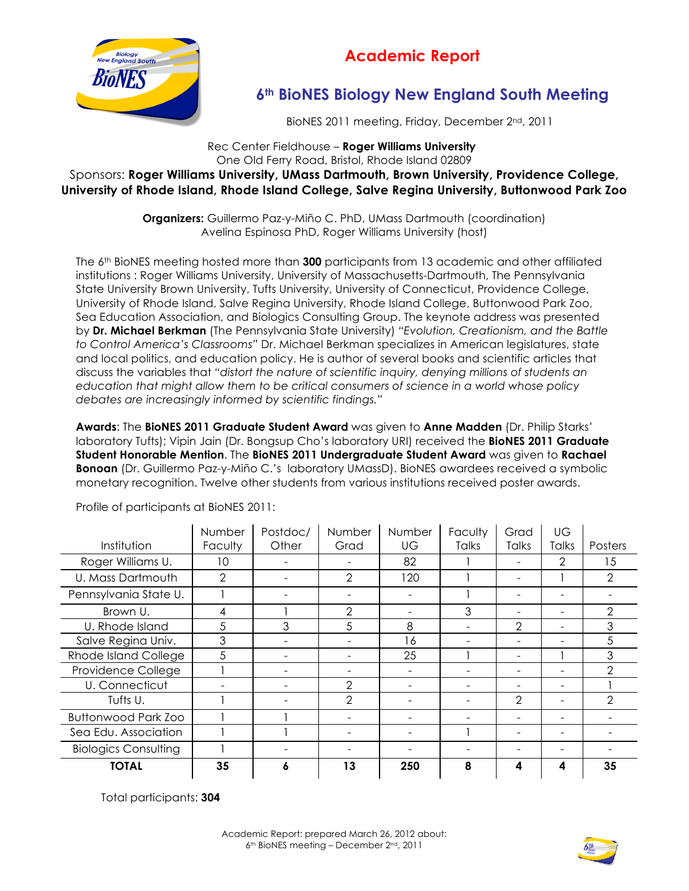

## **Academic Report**

## **6th BioNES Biology New England South Meeting**

BioNES 2011 meeting, Friday, December 2nd, 2011

Rec Center Fieldhouse – **Roger Williams University** One Old Ferry Road, Bristol, Rhode Island 02809 Sponsors: **Roger Williams University, UMass Dartmouth, Brown University, Providence College, University of Rhode Island, Rhode Island College, Salve Regina University, Buttonwood Park Zoo**

> **Organizers:** Guillermo Paz-y-Miño C. PhD, UMass Dartmouth (coordination) Avelina Espinosa PhD, Roger Williams University (host)

The 6th BioNES meeting hosted more than **300** participants from 13 academic and other affiliated institutions : Roger Williams University, University of Massachusetts-Dartmouth, The Pennsylvania State University Brown University, Tufts University, University of Connecticut, Providence College, University of Rhode Island, Salve Regina University, Rhode Island College, Buttonwood Park Zoo, Sea Education Association, and Biologics Consulting Group. The keynote address was presented by **Dr. Michael Berkman** (The Pennsylvania State University) *"Evolution, Creationism, and the Battle to Control America's Classrooms"* Dr. Michael Berkman specializes in American legislatures, state and local politics, and education policy. He is author of several books and scientific articles that discuss the variables that *"distort the nature of scientific inquiry, denying millions of students an education that might allow them to be critical consumers of science in a world whose policy debates are increasingly informed by scientific findings."*

**Awards**: The **BioNES 2011 Graduate Student Award** was given to **Anne Madden** (Dr. Philip Starks' laboratory Tufts); Vipin Jain (Dr. Bongsup Cho's laboratory URI) received the **BioNES 2011 Graduate Student Honorable Mention**. The **BioNES 2011 Undergraduate Student Award** was given to **Rachael Bonoan** (Dr. Guillermo Paz-y-Miño C.'s laboratory UMassD). BioNES awardees received a symbolic monetary recognition. Twelve other students from various institutions received poster awards.

|                             | Number         | Postdoc/ | Number         | Number | Faculty      | Grad                     | UG                       |               |
|-----------------------------|----------------|----------|----------------|--------|--------------|--------------------------|--------------------------|---------------|
| Institution                 | <b>Faculty</b> | Other    | Grad           | UG     | <b>Talks</b> | Talks                    | Talks                    | Posters       |
| Roger Williams U.           | 10             |          |                | 82     |              |                          | $\overline{2}$           | 15            |
| U. Mass Dartmouth           | $\mathcal{P}$  |          | $\mathbf{2}$   | 120    |              | -                        |                          | $\mathcal{P}$ |
| Pennsylvania State U.       |                |          |                |        |              |                          |                          |               |
| Brown U.                    | 4              |          | $\mathbf{2}$   |        | 3            | ۰                        | ۰                        | 2             |
| U. Rhode Island             | 5              | 3        | 5              | 8      |              | $\overline{2}$           | $\overline{\phantom{0}}$ | 3             |
| Salve Regina Univ.          | 3              |          |                | 16     |              |                          |                          | 5             |
| Rhode Island College        | 5              |          |                | 25     |              | $\overline{\phantom{0}}$ |                          | 3             |
| Providence College          |                |          |                |        |              |                          |                          | 2             |
| U. Connecticut              |                |          | 2              | -      |              |                          | ۰                        |               |
| Tufts U.                    |                |          | $\mathfrak{D}$ |        |              | $\mathfrak{D}$           | -                        | $\mathcal{P}$ |
| <b>Buttonwood Park Zoo</b>  |                |          |                |        |              |                          |                          |               |
| Sea Edu. Association        |                |          |                |        |              |                          |                          |               |
| <b>Biologics Consulting</b> |                |          |                |        |              |                          |                          |               |
| <b>TOTAL</b>                | 35             | O        | 13             | 250    | 8            | 4                        | 4                        | 35            |

Profile of participants at BioNES 2011:

Total participants: **304**